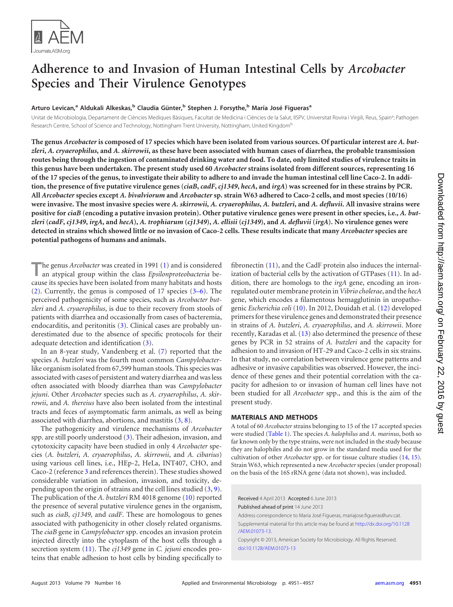

# <span id="page-0-0"></span>**Adherence to and Invasion of Human Intestinal Cells by** *Arcobacter* **Species and Their Virulence Genotypes**

# **Arturo Levican, <sup>a</sup> Aldukali Alkeskas, <sup>b</sup> Claudia Günter, <sup>b</sup> Stephen J. Forsythe, <sup>b</sup> María José Figuerasa**

Unitat de Microbiologia, Departament de Ciències Mediques Bàsiques, Facultat de Medicina i Ciències de la Salut, IISPV, Universitat Rovira i Virgili, Reus, Spain<sup>a</sup>; Pathogen Research Centre, School of Science and Technology, Nottingham Trent University, Nottingham, United Kingdom<sup>b</sup>

**The genus** *Arcobacter* **is composed of 17 species which have been isolated from various sources. Of particular interest are** *A. butzleri***,** *A. cryaerophilus***, and** *A. skirrowii***, as these have been associated with human cases of diarrhea, the probable transmission routes being through the ingestion of contaminated drinking water and food. To date, only limited studies of virulence traits in this genus have been undertaken. The present study used 60** *Arcobacter* **strains isolated from different sources, representing 16 of the 17 species of the genus, to investigate their ability to adhere to and invade the human intestinal cell line Caco-2. In addition, the presence of five putative virulence genes (***ciaB***,** *cadF***,** *cj1349***,** *hecA***, and** *irgA***) was screened for in these strains by PCR. All** *Arcobacter* **species except** *A. bivalviorum* **and** *Arcobacter* **sp. strain W63 adhered to Caco-2 cells, and most species (10/16) were invasive. The most invasive species were** *A. skirrowii***,** *A. cryaerophilus***,** *A. butzleri***, and** *A. defluvii***. All invasive strains were positive for** *ciaB* **(encoding a putative invasion protein). Other putative virulence genes were present in other species, i.e.,** *A. but*zleri (cadF, cj1349, irgA, and hecA), A. trophiarum (cj1349), A. ellisii (cj1349), and A. defluvii (irgA). No virulence genes were **detected in strains which showed little or no invasion of Caco-2 cells. These results indicate that many** *Arcobacter* **species are potential pathogens of humans and animals.**

**T**he genus *Arcobacter* was created in 1991 [\(1\)](#page-6-0) and is considered an atypical group within the class *Epsilonproteobacteria* because its species have been isolated from many habitats and hosts [\(2\)](#page-6-1). Currently, the genus is composed of 17 species [\(3](#page-6-2)[–](#page-6-3)[6\)](#page-6-4). The perceived pathogenicity of some species, such as *Arcobacter butzleri* and *A. cryaerophilus*, is due to their recovery from stools of patients with diarrhea and occasionally from cases of bacteremia, endocarditis, and peritonitis [\(3\)](#page-6-2). Clinical cases are probably underestimated due to the absence of specific protocols for their adequate detection and identification [\(3\)](#page-6-2).

In an 8-year study, Vandenberg et al. [\(7\)](#page-6-5) reported that the species *A. butzleri* was the fourth most common *Campylobacter*like organism isolated from 67,599 human stools. This species was associated with cases of persistent and watery diarrhea and was less often associated with bloody diarrhea than was *Campylobacter jejuni*. Other *Arcobacter* species such as *A. cryaerophilus*, *A. skirrowii*, and *A. thereius* have also been isolated from the intestinal tracts and feces of asymptomatic farm animals, as well as being associated with diarrhea, abortions, and mastitis  $(3, 8)$  $(3, 8)$  $(3, 8)$ .

The pathogenicity and virulence mechanisms of *Arcobacter* spp. are still poorly understood [\(3\)](#page-6-2). Their adhesion, invasion, and cytotoxicity capacity have been studied in only 4 *Arcobacter* species (*A. butzleri*, *A. cryaerophilus*, *A. skirrowii*, and *A. cibarius*) using various cell lines, i.e., HEp-2, HeLa, INT407, CHO, and Caco-2 (reference [3](#page-6-2) and references therein). These studies showed considerable variation in adhesion, invasion, and toxicity, depending upon the origin of strains and the cell lines studied [\(3,](#page-6-2) [9\)](#page-6-7). The publication of the *A. butzleri* RM 4018 genome [\(10\)](#page-6-8) reported the presence of several putative virulence genes in the organism, such as *ciaB*, *cj1349*, and *cadF*. These are homologous to genes associated with pathogenicity in other closely related organisms. The *ciaB* gene in *Campylobacter* spp. encodes an invasion protein injected directly into the cytoplasm of the host cells through a secretion system [\(11\)](#page-6-9). The *cj1349* gene in *C. jejuni* encodes proteins that enable adhesion to host cells by binding specifically to fibronectin [\(11\)](#page-6-9), and the CadF protein also induces the internalization of bacterial cells by the activation of GTPases [\(11\)](#page-6-9). In addition, there are homologs to the *irgA* gene, encoding an ironregulated outer membrane protein in*Vibrio cholerae*, and the *hecA* gene, which encodes a filamentous hemagglutinin in uropathogenic *Escherichia coli* [\(10\)](#page-6-8). In 2012, Douidah et al. [\(12\)](#page-6-10) developed primers for these virulence genes and demonstrated their presence in strains of *A. butzleri*, *A. cryaerophilus*, and *A. skirrowii*. More recently, Karadas et al. [\(13\)](#page-6-11) also determined the presence of these genes by PCR in 52 strains of *A. butzleri* and the capacity for adhesion to and invasion of HT-29 and Caco-2 cells in six strains. In that study, no correlation between virulence gene patterns and adhesive or invasive capabilities was observed. However, the incidence of these genes and their potential correlation with the capacity for adhesion to or invasion of human cell lines have not been studied for all *Arcobacter* spp., and this is the aim of the present study.

# **MATERIALS AND METHODS**

A total of 60 *Arcobacter* strains belonging to 15 of the 17 accepted species were studied [\(Table 1\)](#page-0-0). The species *A. halophilus* and *A. marinus*, both so far known only by the type strains, were not included in the study because they are halophiles and do not grow in the standard media used for the cultivation of other *Arcobacter* spp. or for tissue culture studies [\(14,](#page-6-12) [15\)](#page-6-13). Strain W63, which represented a new *Arcobacter* species (under proposal) on the basis of the 16S rRNA gene (data not shown), was included.

Received 4 April 2013 Accepted 6 June 2013 Published ahead of print 14 June 2013

Address correspondence to Maria José Figueras, mariajose.figueras@urv.cat.

Supplemental material for this article may be found at [http://dx.doi.org/10.1128](http://dx.doi.org/10.1128/AEM.01073-13) [/AEM.01073-13.](http://dx.doi.org/10.1128/AEM.01073-13)

Copyright © 2013, American Society for Microbiology. All Rights Reserved. [doi:10.1128/AEM.01073-13](http://dx.doi.org/10.1128/AEM.01073-13)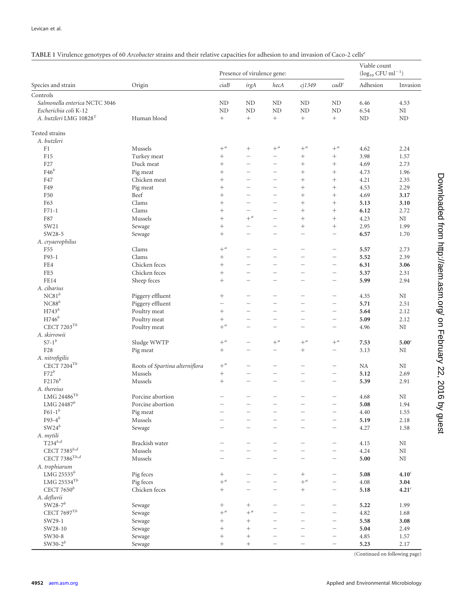| TABLE 1 Virulence genotypes of 60 Arcobacter strains and their relative capacities for adhesion to and invasion of Caco-2 cells <sup>e</sup> |  |  |  |
|----------------------------------------------------------------------------------------------------------------------------------------------|--|--|--|
|----------------------------------------------------------------------------------------------------------------------------------------------|--|--|--|

|                                    | Origin                                    | Presence of virulence gene: |                          |                          |                          | Viable count<br>$(\log_{10}$ CFU ml <sup>-1</sup> ) |              |                   |
|------------------------------------|-------------------------------------------|-----------------------------|--------------------------|--------------------------|--------------------------|-----------------------------------------------------|--------------|-------------------|
| Species and strain                 |                                           | ciaB                        | irgA                     | hecA                     | $ci$ 1349                | cadF                                                | Adhesion     | Invasion          |
| Controls                           |                                           |                             |                          |                          |                          |                                                     |              |                   |
| Salmonella enterica NCTC 3046      |                                           | ND                          | ND                       | N <sub>D</sub>           | ND                       | <b>ND</b>                                           | 6.46         | 4.53              |
| Escherichia coli K-12              |                                           | ND                          | ND                       | ND                       | ND                       | N <sub>D</sub>                                      | 6.54         | $\rm NI$          |
| A. butzleri LMG 10828 <sup>T</sup> | Human blood                               | $^+$                        | $\! + \!\!\!\!$          | $^+$                     |                          | $^{+}$                                              | ND           | ND                |
| Tested strains                     |                                           |                             |                          |                          |                          |                                                     |              |                   |
| A. butzleri                        |                                           |                             |                          |                          |                          |                                                     |              |                   |
| F1                                 | Mussels                                   | $+$ <sup>a</sup>            | $^{+}$                   | $+$ <sup>a</sup>         | $+$ <sup>a</sup>         | $+$ <sup>a</sup>                                    | 4.62         | 2.24              |
| F15                                | Turkey meat                               | $^{+}$                      | $\overline{\phantom{0}}$ | $\overline{\phantom{0}}$ | $^{+}$                   | $^{+}$                                              | 3.98         | 1.57              |
| F27                                | Duck meat                                 | $^{+}$                      | $\overline{\phantom{0}}$ | -                        | $\! + \!\!\!\!$          | $^{+}$                                              | 4.69         | 2.73              |
| $F46^b$                            | Pig meat                                  | $^{+}$                      | $\overline{\phantom{0}}$ | $\overline{\phantom{0}}$ |                          | $^{+}$                                              | 4.73         | 1.96              |
| F47                                | Chicken meat                              | $^{+}$                      | $\overline{\phantom{0}}$ |                          | $^{+}$                   | $^{+}$                                              | 4.21         | 2.35              |
| F49                                | Pig meat                                  |                             |                          | $\overline{\phantom{0}}$ |                          | $^{+}$                                              | 4.53         | 2.29              |
| F50                                | Beef                                      | $^{+}$                      | $\overline{\phantom{0}}$ | $\overline{\phantom{0}}$ |                          | $\! + \!\!\!\!$                                     | 4.69         | 3.17              |
| F63                                | Clams                                     | $^{+}$                      | $\overline{\phantom{0}}$ | $\overline{\phantom{0}}$ | $\! + \!\!\!\!$          | $^{+}$                                              | 5.13         | 3.10              |
| $F71-1$                            | Clams                                     |                             | $\overline{\phantom{0}}$ | $\overline{\phantom{0}}$ |                          | $^{+}$                                              | 6.12         | 2.72              |
| F87                                | Mussels                                   | $^{+}$                      | $+$ <sup>a</sup>         |                          |                          |                                                     | 4.23         | NI                |
| SW21                               | Sewage                                    | $^{+}$                      | $\overline{\phantom{0}}$ |                          |                          | $^{+}$                                              | 2.95         | 1.99              |
| SW28-5                             | Sewage                                    |                             | -                        | -                        | $\overline{\phantom{0}}$ | -                                                   | 6.57         | 1.70              |
| A. cryaerophilus                   |                                           |                             |                          |                          |                          |                                                     |              |                   |
| F <sub>55</sub>                    | Clams                                     | $+$ <sup>a</sup>            |                          | $\overline{\phantom{0}}$ | -                        | $\overline{\phantom{0}}$                            | 5.57         | 2.73              |
| $F93-1$                            | Clams                                     | $^{+}$                      | $\overline{\phantom{0}}$ | $\overline{\phantom{0}}$ | $\overline{\phantom{0}}$ | -                                                   | 5.52         | 2.39              |
| FE4                                | Chicken feces                             | $^{+}$                      | $\overline{\phantom{0}}$ |                          | $\overline{\phantom{0}}$ | $\overline{\phantom{0}}$                            | 6.31         | 3.06              |
| FE5                                | Chicken feces                             | $^{+}$                      | $\overline{\phantom{0}}$ | $\overline{\phantom{0}}$ | $\overline{\phantom{0}}$ | $\overline{\phantom{0}}$                            | 5.37         | 2.31              |
| FE14                               | Sheep feces                               |                             | $\overline{\phantom{0}}$ | $\overline{\phantom{0}}$ | $\overline{\phantom{0}}$ | $\overline{\phantom{0}}$                            | 5.99         | 2.94              |
| A. cibarius                        |                                           |                             |                          |                          |                          |                                                     |              |                   |
| $\mathrm{NC}81^b$                  | Piggery effluent                          |                             | $\overline{\phantom{0}}$ | $\overline{\phantom{0}}$ | -                        | $\overline{\phantom{0}}$                            | 4.35         | NI                |
| ${\rm NCS8}^b$                     | Piggery effluent                          | $\overline{\phantom{0}}$    | -                        | -                        | $\overline{\phantom{0}}$ | -                                                   | 5.71         | 2.51              |
| $H743^b$                           | Poultry meat                              | $^{+}$                      | $\overline{\phantom{0}}$ | $\overline{\phantom{0}}$ | $\overline{\phantom{0}}$ | -                                                   | 5.64         | 2.12              |
| $H746^b$                           | Poultry meat                              | $\! + \!\!\!\!$             | $\overline{\phantom{0}}$ |                          | $\overline{\phantom{0}}$ | $\overline{\phantom{0}}$                            | 5.09         | 2.12              |
| CECT $7203$ <sup>Tb</sup>          | Poultry meat                              | $+$ <sup>a</sup>            | $\overline{\phantom{0}}$ | $\overline{\phantom{0}}$ | $\overline{\phantom{0}}$ | $\overline{\phantom{0}}$                            | 4.96         | NI                |
| A. skirrowii                       |                                           |                             |                          |                          |                          |                                                     |              |                   |
| $S7-1^b$                           | Sludge WWTP                               | $+$ <sup><i>a</i></sup>     | $\overline{\phantom{0}}$ | $+$ <sup>a</sup>         | $+$ <sup>a</sup>         | $+$ <sup>a</sup>                                    | 7.53         | 5.00 <sup>c</sup> |
| F <sub>28</sub>                    |                                           | $\! + \!\!\!\!$             | $\overline{\phantom{0}}$ | $\qquad \qquad -$        | $\! + \!\!\!\!$          | $\overline{\phantom{0}}$                            | 3.13         | NI                |
| A. nitrofigilis                    | Pig meat                                  |                             |                          |                          |                          |                                                     |              |                   |
| CECT 7204 $^{Tb}$                  |                                           | $+^a$                       | $\overline{\phantom{0}}$ |                          | $\overline{\phantom{0}}$ | $\overline{\phantom{0}}$                            | NA           | NI                |
| $F72^b$                            | Roots of Spartina alterniflora<br>Mussels |                             | -                        | -                        | $\overline{\phantom{0}}$ | -                                                   | 5.12         | 2.69              |
| $F2176^b$                          | Mussels                                   | $^{+}$                      | $\overline{\phantom{0}}$ | -                        | -                        | $\overline{\phantom{0}}$                            |              | 2.91              |
| A. thereius                        |                                           |                             |                          |                          |                          |                                                     | 5.39         |                   |
| LMG 24486 $^{Tb}$                  | Porcine abortion                          |                             | $\overline{\phantom{0}}$ | -                        |                          | $\overline{\phantom{0}}$                            |              | NI                |
|                                    |                                           | $\overline{\phantom{a}}$    | $\overline{\phantom{0}}$ | $\overline{\phantom{0}}$ | $\overline{\phantom{0}}$ | $\overline{\phantom{0}}$                            | 4.68         |                   |
| LMG 24487 $^b$                     | Porcine abortion                          | $\overline{\phantom{0}}$    | $\qquad \qquad -$        | $\overline{\phantom{0}}$ |                          |                                                     | 5.08         | 1.94              |
| $F61-1b$<br>F93- $4^b$             | Pig meat<br>$\rm{Mussels}$                |                             | $\overline{\phantom{0}}$ | $\overline{\phantom{0}}$ | $\overline{\phantom{0}}$ | $\overline{\phantom{0}}$                            | 4.40         | 1.55              |
| $\text{SW24}^b$                    |                                           | $\overline{\phantom{0}}$    | $\qquad \qquad -$        | $\overline{\phantom{0}}$ | $\overline{\phantom{0}}$ | $\overline{\phantom{0}}$                            | 5.19<br>4.27 | 2.18              |
|                                    | Sewage                                    |                             |                          |                          |                          |                                                     |              | 1.58              |
| A. mytili<br>$T234^{b,d}$          |                                           |                             |                          |                          |                          |                                                     |              |                   |
|                                    | Brackish water                            |                             | $\overline{\phantom{0}}$ | $\overline{\phantom{0}}$ | $\overline{\phantom{0}}$ | -                                                   | 4.15         | $\rm NI$          |
| CECT 7385 $^{b,d}$                 | Mussels                                   |                             | $\overline{\phantom{0}}$ |                          |                          | -                                                   | 4.24         | $\rm NI$          |
| CECT 7386 $^{Tb,d}$                | Mussels                                   |                             | $\overline{\phantom{0}}$ | $\overline{\phantom{0}}$ | $\overline{\phantom{0}}$ | $\overline{\phantom{0}}$                            | 5.00         | $\rm NI$          |
| A. trophiarum                      |                                           |                             |                          |                          |                          |                                                     |              |                   |
| LMG 25535 $^b$                     | Pig feces                                 | $^{+}$                      |                          | $\overline{\phantom{0}}$ | $\! + \!\!\!\!$          | $\overline{\phantom{0}}$                            | 5.08         | 4.10 <sup>c</sup> |
| $\rm LMG$ 25534 $\rm ^{Tb}$        | Pig feces                                 | $+$ <sup><i>a</i></sup>     | $\overline{\phantom{0}}$ |                          | $+$ <sup>a</sup>         | $\overline{\phantom{0}}$                            | 4.08         | 3.04              |
| CECT $7650^b$                      | Chicken feces                             | $^{+}$                      | $\overline{\phantom{0}}$ | $\overline{\phantom{0}}$ | $^{+}$                   | $\overline{\phantom{0}}$                            | 5.18         | $4.21^c$          |
| A. defluvii                        |                                           |                             |                          |                          |                          |                                                     |              |                   |
| SW28-7 $b$                         | Sewage                                    | $^{+}$                      | $^{+}$                   | $\overline{\phantom{0}}$ | $\overline{\phantom{0}}$ | $\overline{\phantom{0}}$                            | 5.22         | 1.99              |
| CECT $7697$ <sup>Tb</sup>          | Sewage                                    | $+^a$                       | $+$ <sup>a</sup>         | $\overline{\phantom{0}}$ |                          | $\overline{\phantom{0}}$                            | 4.82         | 1.68              |
| SW29-1                             | Sewage                                    | $^{+}$                      | $^{+}$                   | $\overline{\phantom{0}}$ | $\overline{\phantom{0}}$ | -                                                   | 5.58         | 3.08              |
| SW28-10                            | Sewage                                    |                             | $^{+}$                   |                          | $\overline{\phantom{0}}$ | $\overline{\phantom{0}}$                            | 5.04         | 2.49              |
| SW30-8                             | Sewage                                    |                             |                          |                          |                          | -                                                   | 4.85         | 1.57              |
| SW30- $2^b$                        | Sewage                                    | $^{+}$                      | $^{+}$                   |                          | $\overline{\phantom{0}}$ | $\overline{\phantom{0}}$                            | 5.23         | 2.17              |

(Continued on following page)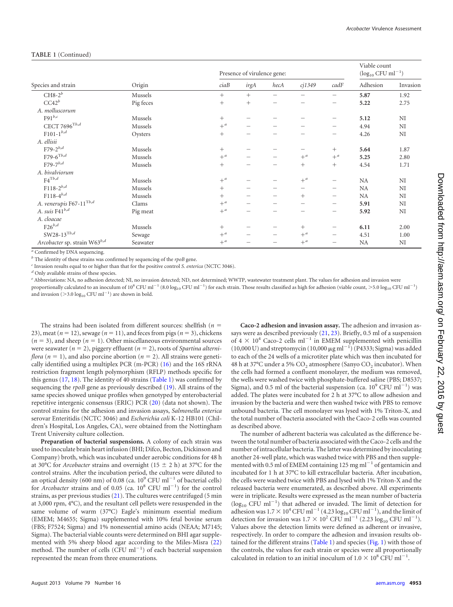| Species and strain                   | Origin    | Presence of virulence gene: |                          |                          |                                       | Viable count<br>$(\log_{10}$ CFU ml <sup>-1</sup> ) |           |          |
|--------------------------------------|-----------|-----------------------------|--------------------------|--------------------------|---------------------------------------|-----------------------------------------------------|-----------|----------|
|                                      |           | ciaB                        | irgA                     | hecA                     | $c$ j $1349$                          | cadF                                                | Adhesion  | Invasion |
| $CH8-2^b$                            | Mussels   | $^{+}$                      | $^{+}$                   | $\overline{\phantom{0}}$ |                                       | -                                                   | 5.87      | 1.92     |
| CC42 <sup>b</sup>                    | Pig feces | $^{+}$                      | $^{+}$                   | $\overline{\phantom{0}}$ |                                       | —                                                   | 5.22      | 2.75     |
| A. molluscorum                       |           |                             |                          |                          |                                       |                                                     |           |          |
| $F91^{b,c}$                          | Mussels   | $^{+}$                      | -                        |                          |                                       | -                                                   | 5.12      | NI       |
| CECT 7696 $^{\mathrm{T}b,d}$         | Mussels   | $+$ <sup>a</sup>            | -                        |                          |                                       | $\overline{\phantom{0}}$                            | 4.94      | NI       |
| ${\rm F}101\hbox{-} 1^{b,d}$         | Oysters   | $^{+}$                      |                          |                          |                                       | $\qquad \qquad$                                     | 4.26      | NI       |
| A. ellisii                           |           |                             |                          |                          |                                       |                                                     |           |          |
| F79-2 $^{b,d}$                       | Mussels   | $^{+}$                      | -                        |                          |                                       | $^{+}$                                              | 5.64      | 1.87     |
| ${\rm F79\text{-}6}^{\rm Tb, d}$     | Mussels   | $+$ <sup>a</sup>            |                          |                          | $+^a$                                 | $+^a$                                               | 5.25      | 2.80     |
| $F79-7^{b,d}$                        | Mussels   | $^{+}$                      | $\overline{\phantom{0}}$ |                          | $^{+}$                                | $^{+}$                                              | 4.54      | 1.71     |
| A. bivalviorum                       |           |                             |                          |                          |                                       |                                                     |           |          |
| $F4^{\text{T}b,d}$                   | Mussels   | $+$ <sup>a</sup>            | $\overline{\phantom{0}}$ | -                        | $+^a$                                 | $\qquad \qquad -$                                   | NA        | NI       |
| $\rm F118\text{-}2^{\textit{b},d}$   | Mussels   | $^{+}$                      | -                        |                          | $\hspace{1.0cm} \rule{1.5cm}{0.15cm}$ |                                                     | <b>NA</b> | NI       |
| $F118-4^{b,d}$                       | Mussels   | $+$                         | -                        |                          | $^{+}$                                | $\qquad \qquad$                                     | <b>NA</b> | NI       |
| A. venerupis F67- $11^{\text{T}b,d}$ | Clams     | $+$ <sup>a</sup>            |                          | -                        | $\overline{\phantom{m}}$              |                                                     | 5.91      | NI       |
| A. suis $F41^{b,d}$                  | Pig meat  | $+$ <sup>a</sup>            |                          |                          |                                       | -                                                   | 5.92      | NI       |
| A. cloacae                           |           |                             |                          |                          |                                       |                                                     |           |          |
| $F26^{b,d}$                          | Mussels   | $^{+}$                      | -                        |                          | $^{+}$                                |                                                     | 6.11      | 2.00     |
| $\text{SW28-13}^{\text{T}b,d}$       | Sewage    | $+$ <sup>a</sup>            | -                        |                          | $+$ <sup>a</sup>                      | -                                                   | 4.51      | 1.00     |
| Arcobacter sp. strain W63b,d         | Seawater  | $+$ <sup>a</sup>            |                          |                          | $+^a$                                 |                                                     | NA        | NI       |

#### **TABLE 1** (Continued)

*<sup>a</sup>* Confirmed by DNA sequencing.

*<sup>b</sup>* The identity of these strains was confirmed by sequencing of the *rpoB* gene.

*<sup>c</sup>* Invasion results equal to or higher than that for the positive control *S. enterica* (NCTC 3046).

*<sup>d</sup>* Only available strains of these species.

*<sup>e</sup>* Abbreviations: NA, no adhesion detected; NI, no invasion detected; ND, not determined; WWTP, wastewater treatment plant. The values for adhesion and invasion were proportionally calculated to an inoculum of 10<sup>8</sup> CFU ml<sup>-1</sup> (8.0 log<sub>10</sub> CFU ml<sup>-1</sup>) for each strain. Those results classified as high for adhesion (viable count, >5.0 log<sub>10</sub> CFU ml<sup>-1</sup>) and invasion ( $>$ 3.0 log<sub>10</sub> CFU ml<sup>-1</sup>) are shown in bold.

The strains had been isolated from different sources: shellfish (*n* 23), meat ( $n = 12$ ), sewage ( $n = 11$ ), and feces from pigs ( $n = 3$ ), chickens  $(n = 3)$ , and sheep  $(n = 1)$ . Other miscellaneous environmental sources were seawater  $(n = 2)$ , piggery effluent  $(n = 2)$ , roots of *Spartina alterniflora* ( $n = 1$ ), and also porcine abortion ( $n = 2$ ). All strains were genetically identified using a multiplex PCR (m-PCR) [\(16\)](#page-6-14) and the 16S rRNA restriction fragment length polymorphism (RFLP) methods specific for this genus  $(17, 18)$  $(17, 18)$  $(17, 18)$ . The identity of 40 strains  $(Table 1)$  was confirmed by sequencing the *rpoB* gene as previously described [\(19\)](#page-6-17). All strains of the same species showed unique profiles when genotyped by enterobacterial repetitive intergenic consensus (ERIC) PCR [\(20\)](#page-6-18) (data not shown). The control strains for the adhesion and invasion assays, *Salmonella enterica* serovar Enteritidis (NCTC 3046) and *Escherichia coli* K-12 HB101 (Children's Hospital, Los Angeles, CA), were obtained from the Nottingham Trent University culture collection.

**Preparation of bacterial suspensions.** A colony of each strain was used to inoculate brain heart infusion (BHI; Difco, Becton, Dickinson and Company) broth, which was incubated under aerobic conditions for 48 h at 30°C for *Arcobacter* strains and overnight (15  $\pm$  2 h) at 37°C for the control strains. After the incubation period, the cultures were diluted to an optical density (600 nm) of 0.08 (ca.  $10^9$  CFU ml<sup>-1</sup> of bacterial cells) for *Arcobacter* strains and of 0.05 (ca.  $10^8$  CFU ml<sup>-1</sup>) for the control strains, as per previous studies [\(21\)](#page-6-19). The cultures were centrifuged (5 min at 3,000 rpm, 4°C), and the resultant cell pellets were resuspended in the same volume of warm (37°C) Eagle's minimum essential medium (EMEM; M4655; Sigma) supplemented with 10% fetal bovine serum (FBS; F7524; Sigma) and 1% nonessential amino acids (NEAA; M7145; Sigma). The bacterial viable counts were determined on BHI agar supplemented with 5% sheep blood agar according to the Miles-Misra [\(22\)](#page-6-20) method. The number of cells (CFU  $ml^{-1}$ ) of each bacterial suspension represented the mean from three enumerations.

**Caco-2 adhesion and invasion assay.** The adhesion and invasion assays were as described previously [\(21,](#page-6-19) [23\)](#page-6-21). Briefly, 0.5 ml of a suspension of  $4 \times 10^4$  Caco-2 cells ml<sup>-1</sup> in EMEM supplemented with penicillin  $(10,000 \text{ U})$  and streptomycin  $(10,000 \mu\text{g m}^{-1})$  (P4333; Sigma) was added to each of the 24 wells of a microtiter plate which was then incubated for 48 h at 37°C under a 5%  $CO<sub>2</sub>$  atmosphere (Sanyo  $CO<sub>2</sub>$  incubator). When the cells had formed a confluent monolayer, the medium was removed, the wells were washed twice with phosphate-buffered saline (PBS; D8537; Sigma), and 0.5 ml of the bacterial suspension (ca.  $10^9$  CFU ml<sup>-1</sup>) was added. The plates were incubated for 2 h at 37°C to allow adhesion and invasion by the bacteria and were then washed twice with PBS to remove unbound bacteria. The cell monolayer was lysed with 1% Triton-X, and the total number of bacteria associated with the Caco-2 cells was counted as described above.

The number of adherent bacteria was calculated as the difference between the total number of bacteria associated with the Caco-2 cells and the number of intracellular bacteria. The latter was determined by inoculating another 24-well plate, which was washed twice with PBS and then supplemented with 0.5 ml of EMEM containing 125 mg ml<sup> $-1$ </sup> of gentamicin and incubated for 1 h at 37°C to kill extracellular bacteria. After incubation, the cells were washed twice with PBS and lysed with 1% Triton-X and the released bacteria were enumerated, as described above. All experiments were in triplicate. Results were expressed as the mean number of bacteria  $(\log_{10}$  CFU ml<sup>-1</sup>) that adhered or invaded. The limit of detection for adhesion was  $1.7 \times 10^4$  CFU ml<sup>-1</sup> (4.23 log<sub>10</sub> CFU ml<sup>-1</sup>), and the limit of detection for invasion was  $1.7 \times 10^2$  CFU ml<sup>-1</sup> (2.23 log<sub>10</sub> CFU ml<sup>-1</sup>). Values above the detection limits were defined as adherent or invasive, respectively. In order to compare the adhesion and invasion results ob-tained for the different strains [\(Table 1\)](#page-0-0) and species [\(Fig. 1\)](#page-3-0) with those of the controls, the values for each strain or species were all proportionally calculated in relation to an initial inoculum of  $1.0 \times 10^8$  CFU ml<sup>-1</sup>.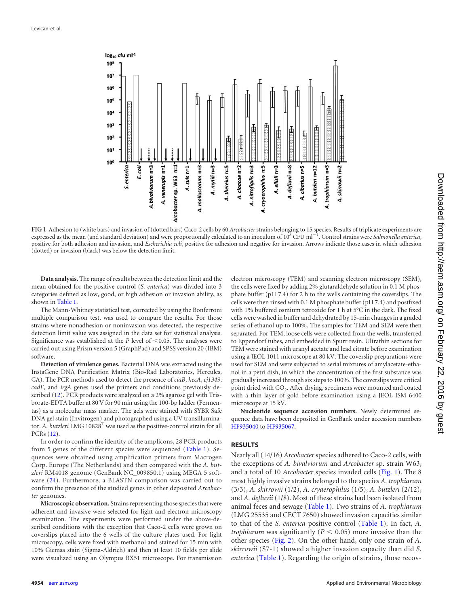

<span id="page-3-0"></span>**FIG 1** Adhesion to (white bars) and invasion of (dotted bars) Caco-2 cells by 60 *Arcobacter* strains belonging to 15 species. Results of triplicate experiments are expressed as the mean (and standard deviation) and were proportionally calculated to an inoculum of 10<sup>8</sup> CFU ml<sup>-1</sup>. Control strains were *Salmonella enterica*, positive for both adhesion and invasion, and *Escherichia coli*, positive for adhesion and negative for invasion. Arrows indicate those cases in which adhesion (dotted) or invasion (black) was below the detection limit.

**Data analysis.** The range of results between the detection limit and the mean obtained for the positive control (*S. enterica*) was divided into 3 categories defined as low, good, or high adhesion or invasion ability, as shown in [Table 1.](#page-0-0)

The Mann-Whitney statistical test, corrected by using the Bonferroni multiple comparison test, was used to compare the results. For those strains where nonadhesion or noninvasion was detected, the respective detection limit value was assigned in the data set for statistical analysis. Significance was established at the *P* level of  $\leq 0.05$ . The analyses were carried out using Prism version 5 (GraphPad) and SPSS version 20 (IBM) software.

**Detection of virulence genes.** Bacterial DNA was extracted using the InstaGene DNA Purification Matrix (Bio-Rad Laboratories, Hercules, CA). The PCR methods used to detect the presence of *ciaB*, *hecA*, *cj1349*, *cadF*, and *irgA* genes used the primers and conditions previously described [\(12\)](#page-6-10). PCR products were analyzed on a 2% agarose gel with Trisborate-EDTA buffer at 80 V for 90 min using the 100-bp ladder (Fermentas) as a molecular mass marker. The gels were stained with SYBR Safe DNA gel stain (Invitrogen) and photographed using a UV transilluminator. A. butzleri LMG 10828<sup>T</sup> was used as the positive-control strain for all PCRs [\(12\)](#page-6-10).

In order to confirm the identity of the amplicons, 28 PCR products from 5 genes of the different species were sequenced [\(Table 1\)](#page-0-0). Sequences were obtained using amplification primers from Macrogen Corp. Europe (The Netherlands) and then compared with the *A. butzleri* RM4018 genome (GenBank NC\_009850.1) using MEGA 5 software [\(24\)](#page-6-22). Furthermore, a BLASTN comparison was carried out to confirm the presence of the studied genes in other deposited *Arcobacter* genomes.

**Microscopic observation.** Strains representing those species that were adherent and invasive were selected for light and electron microscopy examination. The experiments were performed under the above-described conditions with the exception that Caco-2 cells were grown on coverslips placed into the 6 wells of the culture plates used. For light microscopy, cells were fixed with methanol and stained for 15 min with 10% Giemsa stain (Sigma-Aldrich) and then at least 10 fields per slide were visualized using an Olympus BX51 microscope. For transmission

electron microscopy (TEM) and scanning electron microscopy (SEM), the cells were fixed by adding 2% glutaraldehyde solution in 0.1 M phosphate buffer (pH 7.4) for 2 h to the wells containing the coverslips. The cells were then rinsed with 0.1 M phosphate buffer (pH 7.4) and postfixed with 1% buffered osmium tetroxide for 1 h at 5°C in the dark. The fixed cells were washed in buffer and dehydrated by 15-min changes in a graded series of ethanol up to 100%. The samples for TEM and SEM were then separated. For TEM, loose cells were collected from the wells, transferred to Eppendorf tubes, and embedded in Spurr resin. Ultrathin sections for TEM were stained with uranyl acetate and lead citrate before examination using a JEOL 1011 microscope at 80 kV. The coverslip preparations were used for SEM and were subjected to serial mixtures of amylacetate-ethanol in a petri dish, in which the concentration of the first substance was gradually increased through six steps to 100%. The coverslips were critical point dried with CO<sub>2</sub>. After drying, specimens were mounted and coated with a thin layer of gold before examination using a JEOL JSM 6400 microscope at 15 kV.

**Nucleotide sequence accession numbers.** Newly determined sequence data have been deposited in GenBank under accession numbers [HF935040](http://www.ncbi.nlm.nih.gov/nuccore?term=HF935040) to [HF935067.](http://www.ncbi.nlm.nih.gov/nuccore?term=HF935067)

#### **RESULTS**

Nearly all (14/16) *Arcobacter* species adhered to Caco-2 cells, with the exceptions of *A. bivalviorum* and *Arcobacter* sp. strain W63, and a total of 10 *Arcobacter* species invaded cells [\(Fig. 1\)](#page-3-0). The 8 most highly invasive strains belonged to the species *A. trophiarum* (3/3), *A. skirrowii* (1/2), *A. cryaerophilus* (1/5), *A. butzleri* (2/12), and *A. defluvii* (1/8). Most of these strains had been isolated from animal feces and sewage [\(Table 1\)](#page-0-0). Two strains of *A. trophiarum* (LMG 25535 and CECT 7650) showed invasion capacities similar to that of the *S. enterica* positive control [\(Table 1\)](#page-0-0). In fact, *A. trophiarum* was significantly ( $P < 0.05$ ) more invasive than the other species [\(Fig. 2\)](#page-4-0). On the other hand, only one strain of *A. skirrowii* (S7-1) showed a higher invasion capacity than did *S. enterica* [\(Table 1\)](#page-0-0). Regarding the origin of strains, those recov-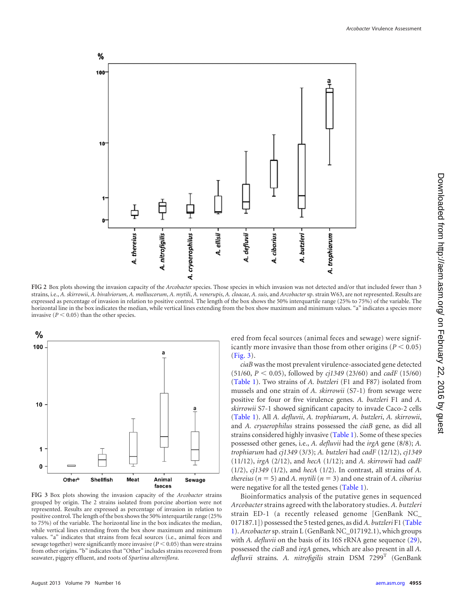

<span id="page-4-0"></span>**FIG 2** Box plots showing the invasion capacity of the *Arcobacter* species. Those species in which invasion was not detected and/or that included fewer than 3 strains, i.e., A. skirrowii, A. bivalviorum, A. molluscorum, A. mytili, A. venerupis, A. cloacae, A. suis, and Arcobacter sp. strain W63, are not represented. Results are expressed as percentage of invasion in relation to positive control. The length of the box shows the 50% interquartile range (25% to 75%) of the variable. The horizontal line in the box indicates the median, while vertical lines extending from the box show maximum and minimum values. "a" indicates a species more invasive ( $P < 0.05$ ) than the other species.



<span id="page-4-1"></span>**FIG 3** Box plots showing the invasion capacity of the *Arcobacter* strains grouped by origin. The 2 strains isolated from porcine abortion were not represented. Results are expressed as percentage of invasion in relation to positive control. The length of the box shows the 50% interquartile range (25% to 75%) of the variable. The horizontal line in the box indicates the median, while vertical lines extending from the box show maximum and minimum values. "a" indicates that strains from fecal sources (i.e., animal feces and sewage together) were significantly more invasive  $(P < 0.05)$  than were strains from other origins. "b" indicates that "Other" includes strains recovered from seawater, piggery effluent, and roots of *Spartina alterniflora*.

ered from fecal sources (animal feces and sewage) were significantly more invasive than those from other origins  $(P < 0.05)$ [\(Fig. 3\)](#page-4-1).

*ciaB* was the most prevalent virulence-associated gene detected (51/60, *P* 0.05), followed by *cj1349* (23/60) and *cadF* (15/60) [\(Table 1\)](#page-0-0). Two strains of *A. butzleri* (F1 and F87) isolated from mussels and one strain of *A. skirrowii* (S7-1) from sewage were positive for four or five virulence genes. *A. butzleri* F1 and *A. skirrowii* S7-1 showed significant capacity to invade Caco-2 cells [\(Table 1\)](#page-0-0). All *A. defluvii*, *A. trophiarum*, *A. butzleri*, *A. skirrowii*, and *A. cryaerophilus* strains possessed the *ciaB* gene, as did all strains considered highly invasive [\(Table 1\)](#page-0-0). Some of these species possessed other genes, i.e., *A. defluvii* had the *irgA* gene (8/8); *A. trophiarum* had *cj1349* (3/3); *A. butzleri* had *cadF* (12/12), *cj1349* (11/12), *irgA* (2/12), and *hecA* (1/12); and *A. skirrowii* had *cadF* (1/2), *cj1349* (1/2), and *hecA* (1/2). In contrast, all strains of *A. thereius* ( $n = 5$ ) and *A. mytili* ( $n = 3$ ) and one strain of *A. cibarius* were negative for all the tested genes [\(Table 1\)](#page-0-0).

Bioinformatics analysis of the putative genes in sequenced *Arcobacter* strains agreed with the laboratory studies. *A. butzleri* strain ED-1 (a recently released genome [GenBank NC\_ 017187.1]) possessed the 5 tested genes, as did*A. butzleri* F1 [\(Table](#page-0-0) [1\)](#page-0-0). *Arcobacter*sp. strain L (GenBank NC\_017192.1), which groups with *A. defluvii* on the basis of its 16S rRNA gene sequence [\(29\)](#page-6-23), possessed the *ciaB* and *irgA* genes, which are also present in all *A. defluvii* strains. *A. nitrofigilis* strain DSM 7299T (GenBank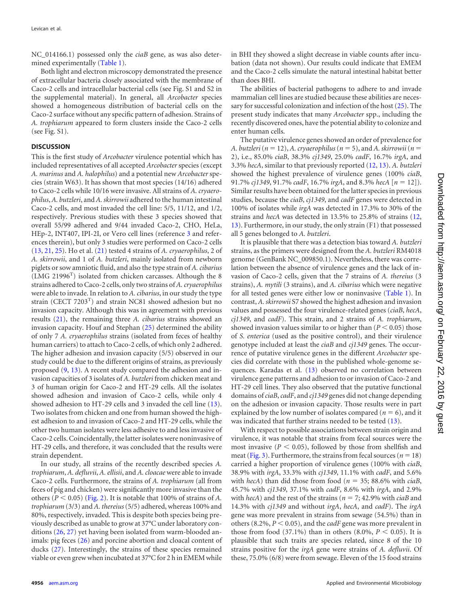NC\_014166.1) possessed only the *ciaB* gene, as was also determined experimentally [\(Table 1\)](#page-0-0).

Both light and electron microscopy demonstrated the presence of extracellular bacteria closely associated with the membrane of Caco-2 cells and intracellular bacterial cells (see Fig. S1 and S2 in the supplemental material). In general, all *Arcobacter* species showed a homogeneous distribution of bacterial cells on the Caco-2 surface without any specific pattern of adhesion. Strains of *A. trophiarum* appeared to form clusters inside the Caco-2 cells (see Fig. S1).

## **DISCUSSION**

This is the first study of *Arcobacter* virulence potential which has included representatives of all accepted *Arcobacter* species (except *A. marinus* and *A. halophilus*) and a potential new *Arcobacter* species (strain W63). It has shown that most species (14/16) adhered to Caco-2 cells while 10/16 were invasive. All strains of *A. cryaerophilus*,*A. butzleri*, and*A. skirrowii* adhered to the human intestinal Caco-2 cells, and most invaded the cell line: 5/5, 11/12, and 1/2, respectively. Previous studies with these 3 species showed that overall 55/99 adhered and 9/44 invaded Caco-2, CHO, HeLa, HEp-2, INT407, IPI-2I, or Vero cell lines (reference [3](#page-6-2) and references therein), but only 3 studies were performed on Caco-2 cells [\(13,](#page-6-11) [21,](#page-6-19) [25\)](#page-6-24). Ho et al. [\(21\)](#page-6-19) tested 4 strains of *A. cryaerophilus*, 2 of *A. skirrowii*, and 1 of *A. butzleri*, mainly isolated from newborn piglets or sow amniotic fluid, and also the type strain of *A. cibarius*  $(LMG 21996<sup>T</sup>)$  isolated from chicken carcasses. Although the 8 strains adhered to Caco-2 cells, only two strains of *A. cryaerophilus* were able to invade. In relation to *A. cibarius*, in our study the type strain (CECT 7203<sup>T</sup>) and strain NC81 showed adhesion but no invasion capacity. Although this was in agreement with previous results [\(21\)](#page-6-19), the remaining three *A. cibarius* strains showed an invasion capacity. Houf and Stephan [\(25\)](#page-6-24) determined the ability of only 7 *A. cryaerophilus* strains (isolated from feces of healthy human carriers) to attach to Caco-2 cells, of which only 2 adhered. The higher adhesion and invasion capacity (5/5) observed in our study could be due to the different origins of strains, as previously proposed [\(9,](#page-6-7) [13\)](#page-6-11). A recent study compared the adhesion and invasion capacities of 3 isolates of *A. butzleri* from chicken meat and 3 of human origin for Caco-2 and HT-29 cells. All the isolates showed adhesion and invasion of Caco-2 cells, while only 4 showed adhesion to HT-29 cells and 3 invaded the cell line [\(13\)](#page-6-11). Two isolates from chicken and one from human showed the highest adhesion to and invasion of Caco-2 and HT-29 cells, while the other two human isolates were less adhesive to and less invasive of Caco-2 cells. Coincidentally, the latter isolates were noninvasive of HT-29 cells, and therefore, it was concluded that the results were strain dependent.

In our study, all strains of the recently described species *A. trophiarum*, *A. defluvii*, *A. ellisii*, and *A. cloacae* were able to invade Caco-2 cells. Furthermore, the strains of *A. trophiarum* (all from feces of pig and chicken) were significantly more invasive than the others  $(P < 0.05)$  [\(Fig. 2\)](#page-4-0). It is notable that 100% of strains of *A*. *trophiarum* (3/3) and *A. thereius*(5/5) adhered, whereas 100% and 80%, respectively, invaded. This is despite both species being previously described as unable to grow at 37°C under laboratory conditions [\(26,](#page-6-25) [27\)](#page-6-26) yet having been isolated from warm-blooded animals: pig feces [\(26\)](#page-6-25) and porcine abortion and cloacal content of ducks [\(27\)](#page-6-26). Interestingly, the strains of these species remained viable or even grew when incubated at 37°C for 2 h in EMEM while

in BHI they showed a slight decrease in viable counts after incubation (data not shown). Our results could indicate that EMEM and the Caco-2 cells simulate the natural intestinal habitat better than does BHI.

The abilities of bacterial pathogens to adhere to and invade mammalian cell lines are studied because these abilities are necessary for successful colonization and infection of the host [\(25\)](#page-6-24). The present study indicates that many *Arcobacter* spp., including the recently discovered ones, have the potential ability to colonize and enter human cells.

The putative virulence genes showed an order of prevalence for *A. butzleri* ( $n = 12$ ), *A. cryaerophilus* ( $n = 5$ ), and *A. skirrowii* ( $n =$ 2), i.e., 85.0% *ciaB*, 38.3% *cj1349*, 25.0% *cadF*, 16.7% *irgA*, and 3.3% *hecA*, similar to that previously reported [\(12,](#page-6-10) [13\)](#page-6-11). *A. butzleri* showed the highest prevalence of virulence genes (100% *ciaB*, 91.7% *cj1349*, 91.7% *cadF*, 16.7% *irgA*, and 8.3% *hecA* [*n* 12]). Similar results have been obtained for the latter species in previous studies, because the *ciaB*, *cj1349*, and *cadF* genes were detected in 100% of isolates while *irgA* was detected in 17.3% to 30% of the strains and *hecA* was detected in 13.5% to 25.8% of strains [\(12,](#page-6-10) [13\)](#page-6-11). Furthermore, in our study, the only strain (F1) that possessed all 5 genes belonged to *A. butzleri*.

It is plausible that there was a detection bias toward *A. butzleri* strains, as the primers were designed from the *A. butzleri* RM4018 genome (GenBank NC\_009850.1). Nevertheless, there was correlation between the absence of virulence genes and the lack of invasion of Caco-2 cells, given that the 7 strains of *A. thereius* (3 strains), *A. mytili* (3 strains), and *A. cibarius* which were negative for all tested genes were either low or noninvasive [\(Table 1\)](#page-0-0). In contrast, *A. skirrowii* S7 showed the highest adhesion and invasion values and possessed the four virulence-related genes (*ciaB*, *hecA*, *cj1349*, and *cadF*). This strain, and 2 strains of *A. trophiarum*, showed invasion values similar to or higher than  $(P < 0.05)$  those of *S. enterica* (used as the positive control), and their virulence genotype included at least the *ciaB* and *cj1349* genes. The occurrence of putative virulence genes in the different *Arcobacter* species did correlate with those in the published whole-genome sequences. Karadas et al. [\(13\)](#page-6-11) observed no correlation between virulence gene patterns and adhesion to or invasion of Caco-2 and HT-29 cell lines. They also observed that the putative functional domains of*ciaB*,*cadF*, and *cj1349* genes did not change depending on the adhesion or invasion capacity. Those results were in part explained by the low number of isolates compared ( $n = 6$ ), and it was indicated that further strains needed to be tested [\(13\)](#page-6-11).

With respect to possible associations between strain origin and virulence, it was notable that strains from fecal sources were the most invasive  $(P < 0.05)$ , followed by those from shellfish and meat [\(Fig. 3\)](#page-4-1). Furthermore, the strains from fecal sources ( $n = 18$ ) carried a higher proportion of virulence genes (100% with *ciaB*, 38.9% with *irgA*, 33.3% with *cj1349*, 11.1% with *cadF*, and 5.6% with *hecA*) than did those from food ( $n = 35$ ; 88.6% with *ciaB*, 45.7% with *cj1349*, 37.1% with *cadF*, 8.6% with *irgA*, and 2.9% with *hecA*) and the rest of the strains ( $n = 7$ ; 42.9% with *ciaB* and 14.3% with *cj1349* and without *irgA*, *hecA*, and *cadF*). The *irgA* gene was more prevalent in strains from sewage (54.5%) than in others  $(8.2\%, P \le 0.05)$ , and the *cadF* gene was more prevalent in those from food (37.1%) than in others (8.0%,  $P < 0.05$ ). It is plausible that such traits are species related, since 8 of the 10 strains positive for the *irgA* gene were strains of *A. defluvii*. Of these, 75.0% (6/8) were from sewage. Eleven of the 15 food strains